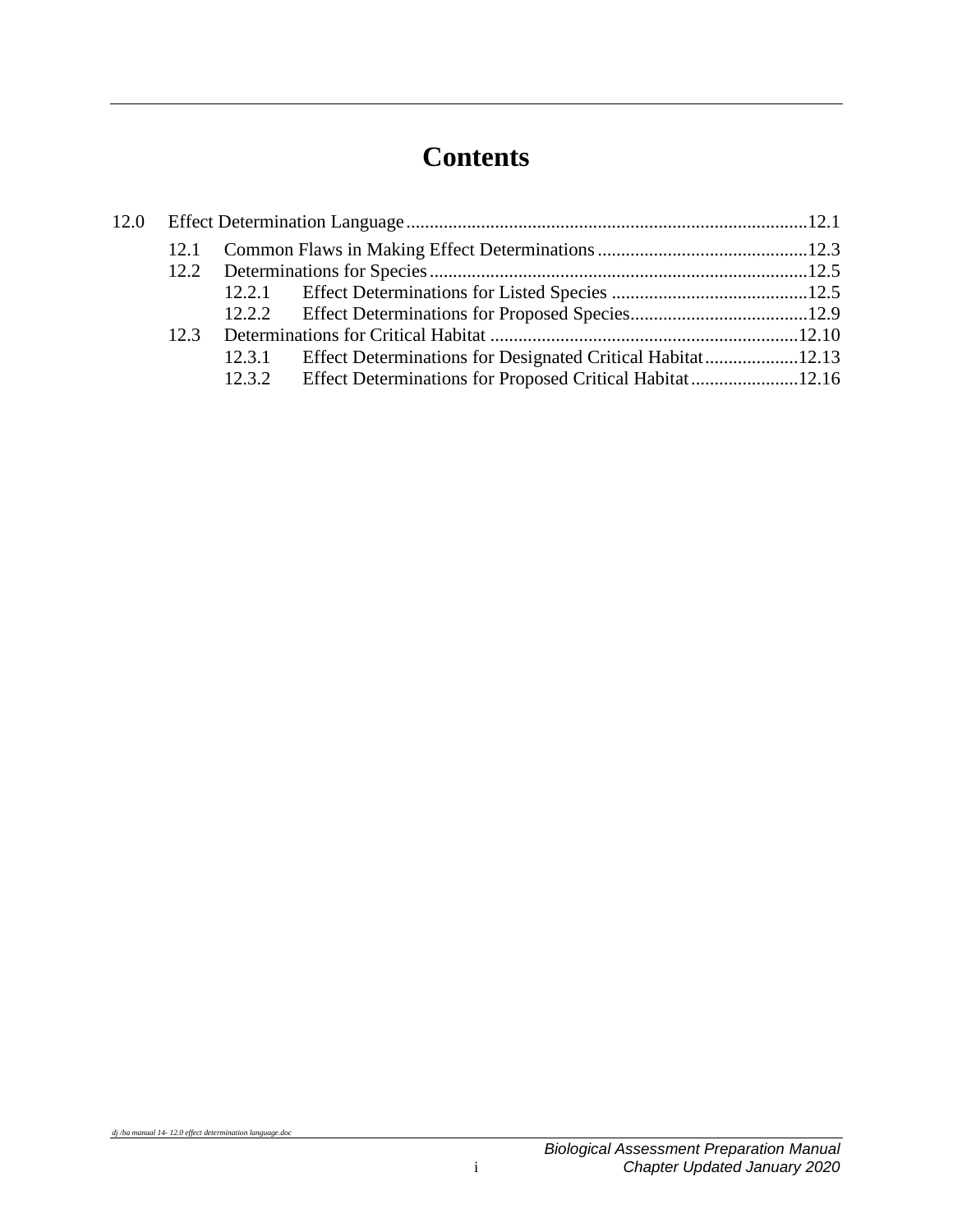# **Contents**

| 12.3 |  |                                                                   |  |
|------|--|-------------------------------------------------------------------|--|
|      |  | 12.3.1 Effect Determinations for Designated Critical Habitat12.13 |  |
|      |  | 12.3.2 Effect Determinations for Proposed Critical Habitat12.16   |  |
|      |  |                                                                   |  |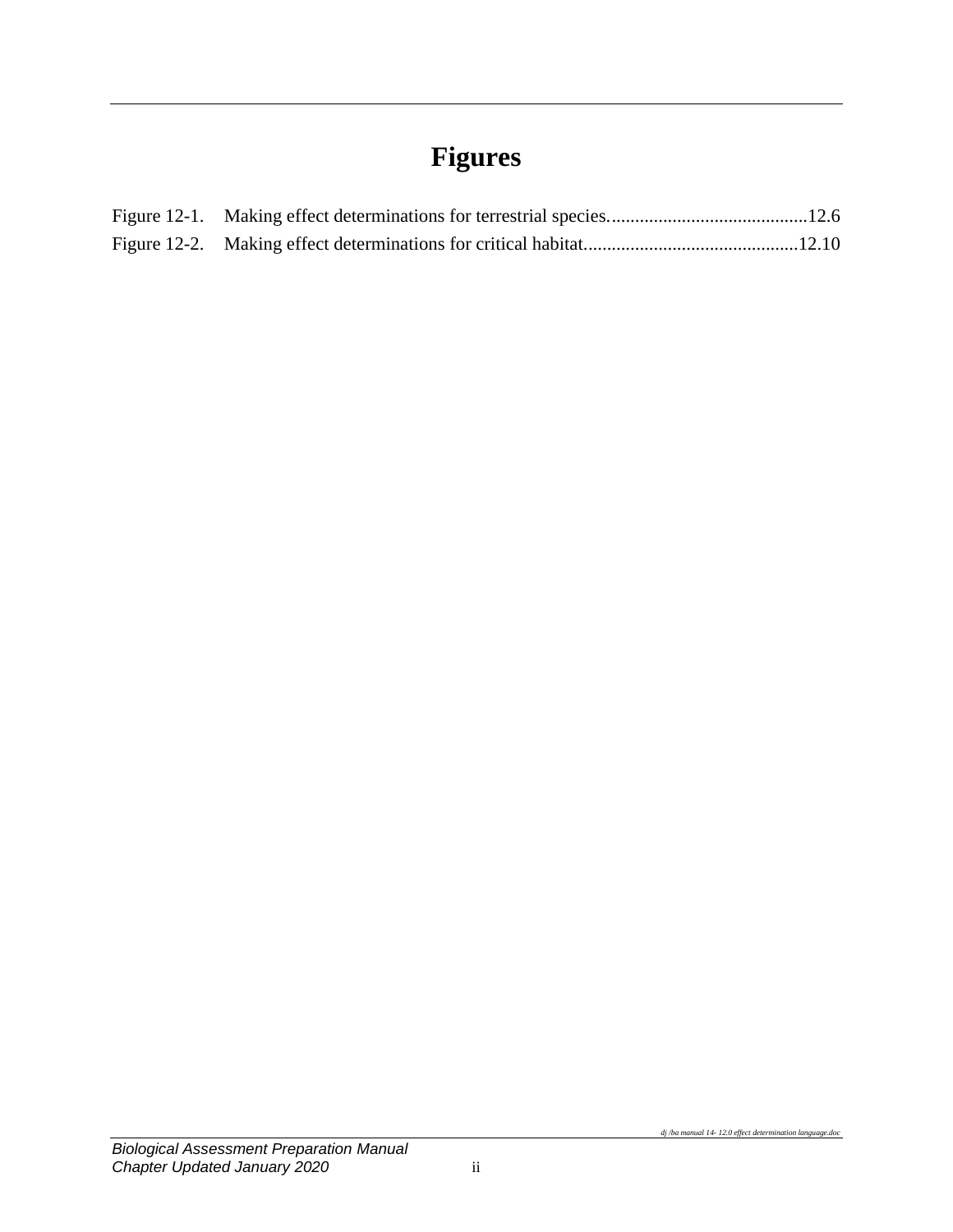# **Figures**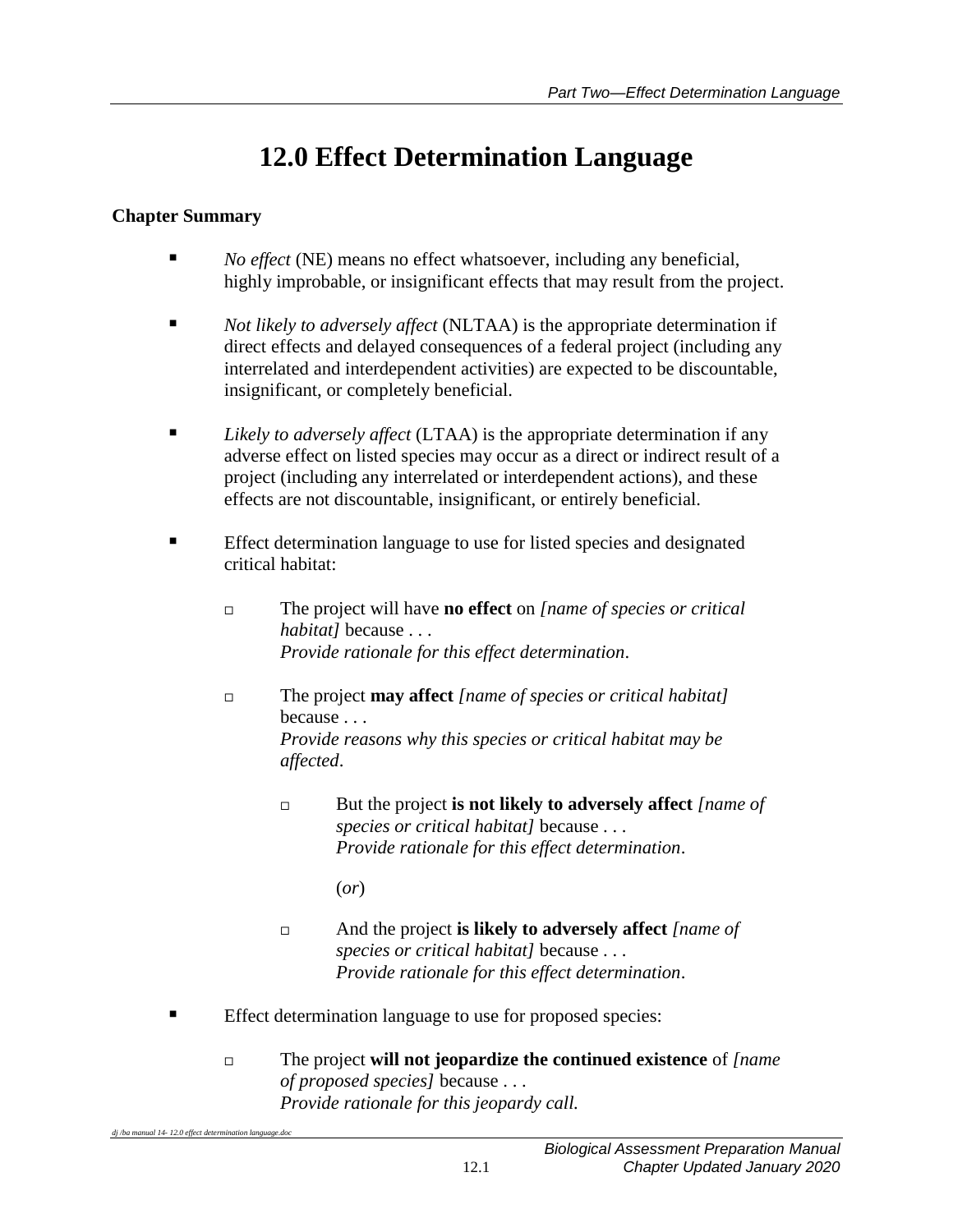# **12.0 Effect Determination Language**

# <span id="page-4-0"></span>**Chapter Summary**

- *No effect* (NE) means no effect whatsoever, including any beneficial, highly improbable, or insignificant effects that may result from the project.
- *Not likely to adversely affect* (NLTAA) is the appropriate determination if direct effects and delayed consequences of a federal project (including any interrelated and interdependent activities) are expected to be discountable, insignificant, or completely beneficial.
- *Likely to adversely affect* (LTAA) is the appropriate determination if any adverse effect on listed species may occur as a direct or indirect result of a project (including any interrelated or interdependent actions), and these effects are not discountable, insignificant, or entirely beneficial.
- **Effect determination language to use for listed species and designated** critical habitat:
	- The project will have **no effect** on *[name of species or critical habitat]* because . . . *Provide rationale for this effect determination*.
	- The project **may affect** *[name of species or critical habitat]* because . . . *Provide reasons why this species or critical habitat may be affected*.
		- But the project **is not likely to adversely affect** *[name of species or critical habitat]* because . . . *Provide rationale for this effect determination*.

(*or*)

- And the project **is likely to adversely affect** *[name of species or critical habitat]* because . . . *Provide rationale for this effect determination*.
- Effect determination language to use for proposed species:
	- The project **will not jeopardize the continued existence** of *[name of proposed species]* because . . . *Provide rationale for this jeopardy call.*

dj /ba manual 14-12.0 effect determination language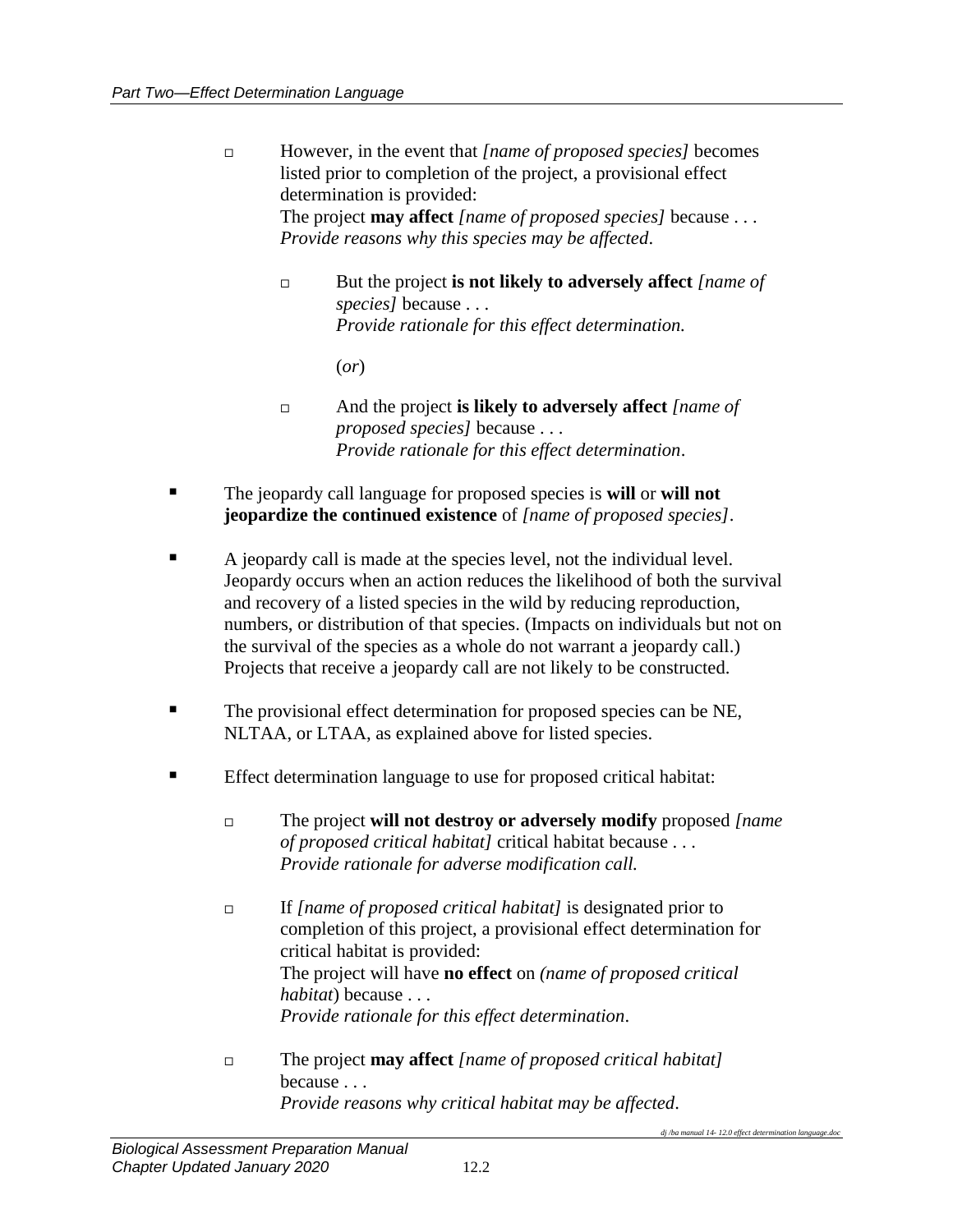- However, in the event that *[name of proposed species]* becomes listed prior to completion of the project, a provisional effect determination is provided: The project **may affect** *[name of proposed species]* because . . . *Provide reasons why this species may be affected*.
	- But the project **is not likely to adversely affect** *[name of species]* because . . . *Provide rationale for this effect determination.*

(*or*)

- And the project **is likely to adversely affect** *[name of proposed species]* because . . . *Provide rationale for this effect determination*.
- The jeopardy call language for proposed species is **will** or **will not jeopardize the continued existence** of *[name of proposed species]*.
- A jeopardy call is made at the species level, not the individual level. Jeopardy occurs when an action reduces the likelihood of both the survival and recovery of a listed species in the wild by reducing reproduction, numbers, or distribution of that species. (Impacts on individuals but not on the survival of the species as a whole do not warrant a jeopardy call.) Projects that receive a jeopardy call are not likely to be constructed.
- The provisional effect determination for proposed species can be NE, NLTAA, or LTAA, as explained above for listed species.
- **Effect determination language to use for proposed critical habitat:** 
	- The project **will not destroy or adversely modify** proposed *[name of proposed critical habitat]* critical habitat because . . . *Provide rationale for adverse modification call.*
	- If *[name of proposed critical habitat]* is designated prior to completion of this project, a provisional effect determination for critical habitat is provided: The project will have **no effect** on *(name of proposed critical habitat*) because . . . *Provide rationale for this effect determination*.
	- The project **may affect** *[name of proposed critical habitat]*  because . . . *Provide reasons why critical habitat may be affected*.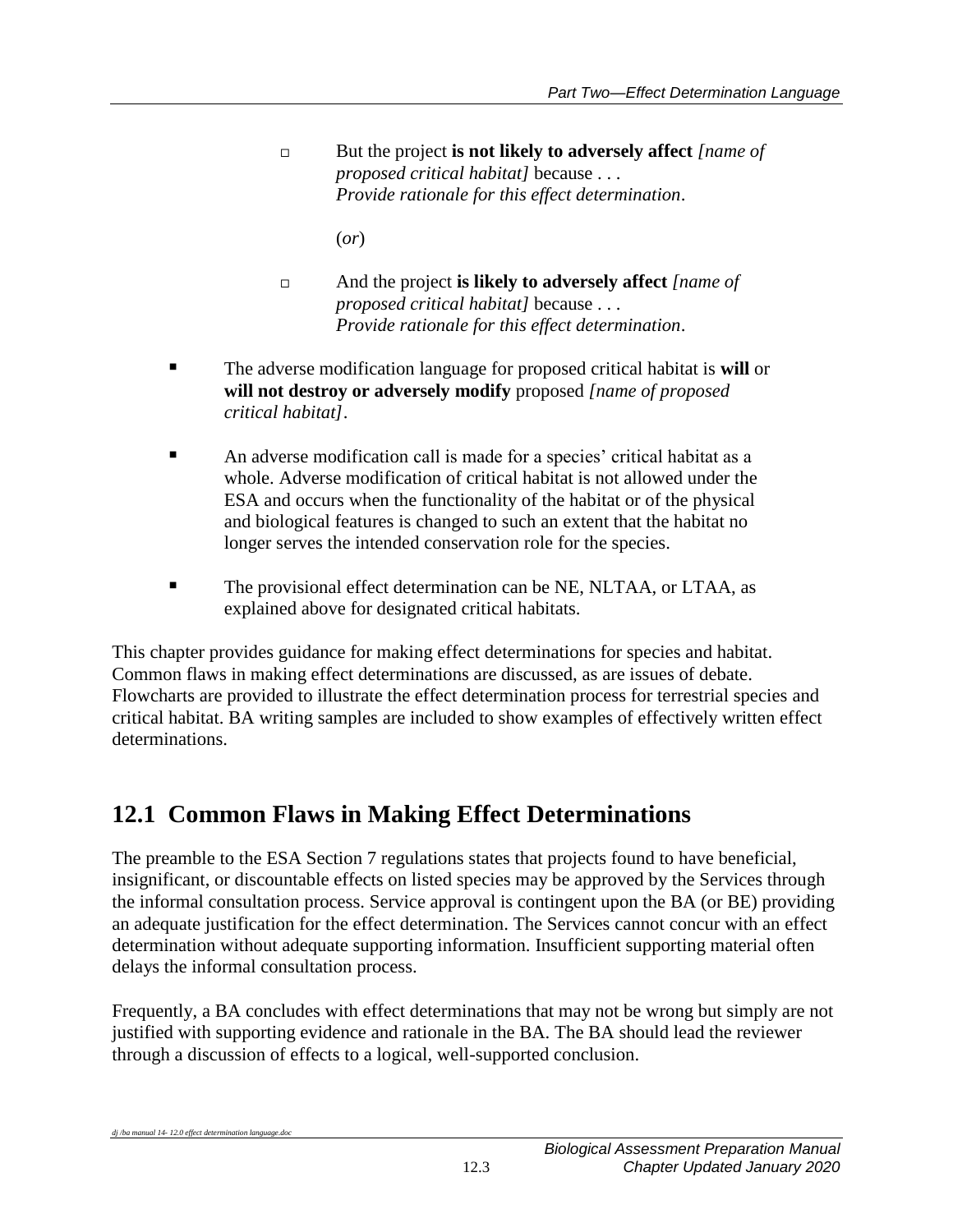But the project **is not likely to adversely affect** *[name of proposed critical habitat]* because . . . *Provide rationale for this effect determination*.

(*or*)

- And the project **is likely to adversely affect** *[name of proposed critical habitat]* because . . . *Provide rationale for this effect determination*.
- The adverse modification language for proposed critical habitat is **will** or **will not destroy or adversely modify** proposed *[name of proposed critical habitat]*.
- An adverse modification call is made for a species' critical habitat as a whole. Adverse modification of critical habitat is not allowed under the ESA and occurs when the functionality of the habitat or of the physical and biological features is changed to such an extent that the habitat no longer serves the intended conservation role for the species.
- The provisional effect determination can be NE, NLTAA, or LTAA, as explained above for designated critical habitats.

This chapter provides guidance for making effect determinations for species and habitat. Common flaws in making effect determinations are discussed, as are issues of debate. Flowcharts are provided to illustrate the effect determination process for terrestrial species and critical habitat. BA writing samples are included to show examples of effectively written effect determinations.

# <span id="page-6-0"></span>**12.1 Common Flaws in Making Effect Determinations**

The preamble to the ESA Section 7 regulations states that projects found to have beneficial, insignificant, or discountable effects on listed species may be approved by the Services through the informal consultation process. Service approval is contingent upon the BA (or BE) providing an adequate justification for the effect determination. The Services cannot concur with an effect determination without adequate supporting information. Insufficient supporting material often delays the informal consultation process.

Frequently, a BA concludes with effect determinations that may not be wrong but simply are not justified with supporting evidence and rationale in the BA. The BA should lead the reviewer through a discussion of effects to a logical, well-supported conclusion.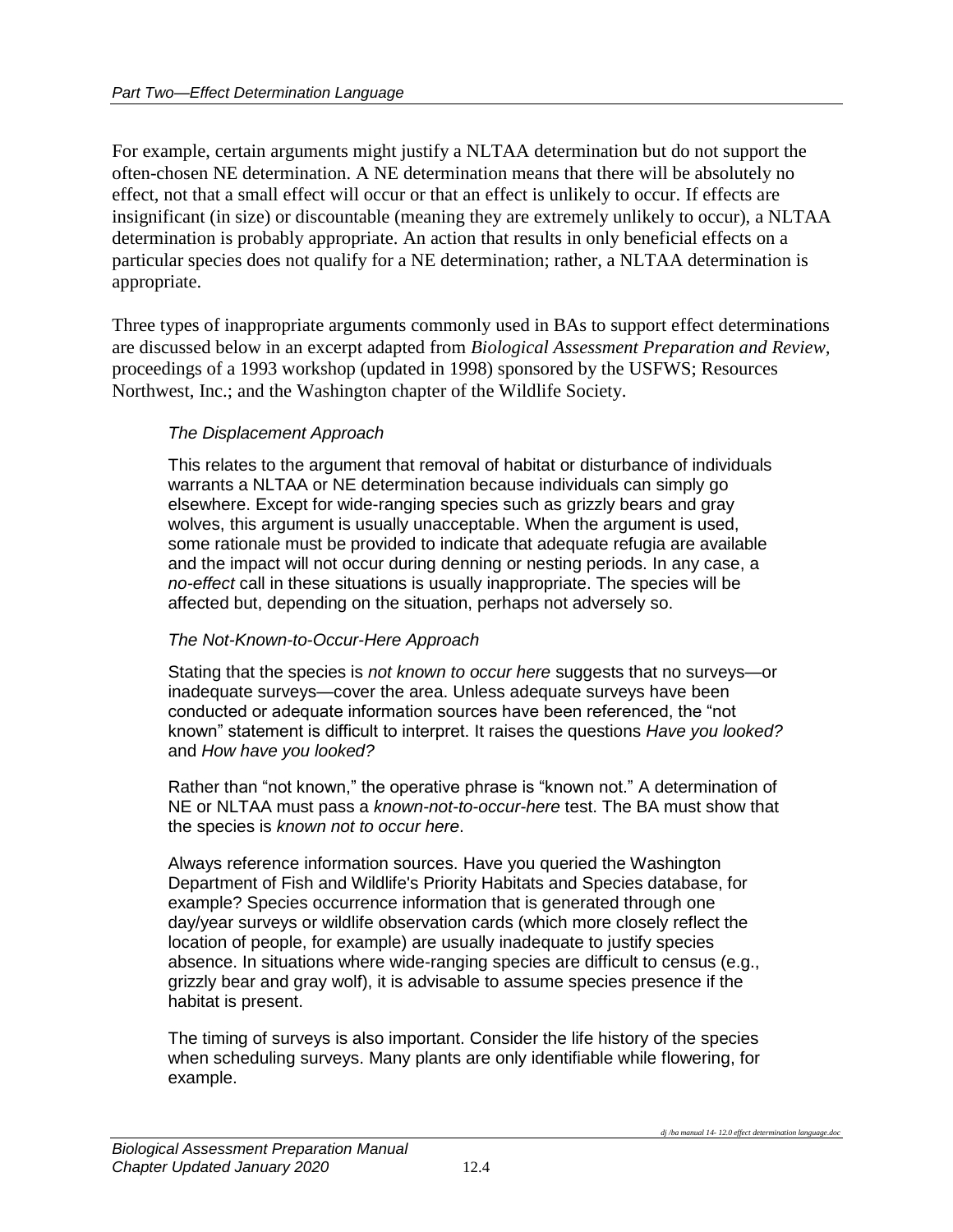For example, certain arguments might justify a NLTAA determination but do not support the often-chosen NE determination. A NE determination means that there will be absolutely no effect, not that a small effect will occur or that an effect is unlikely to occur. If effects are insignificant (in size) or discountable (meaning they are extremely unlikely to occur), a NLTAA determination is probably appropriate. An action that results in only beneficial effects on a particular species does not qualify for a NE determination; rather, a NLTAA determination is appropriate.

Three types of inappropriate arguments commonly used in BAs to support effect determinations are discussed below in an excerpt adapted from *Biological Assessment Preparation and Review,* proceedings of a 1993 workshop (updated in 1998) sponsored by the USFWS; Resources Northwest, Inc.; and the Washington chapter of the Wildlife Society.

#### *The Displacement Approach*

This relates to the argument that removal of habitat or disturbance of individuals warrants a NLTAA or NE determination because individuals can simply go elsewhere. Except for wide-ranging species such as grizzly bears and gray wolves, this argument is usually unacceptable. When the argument is used, some rationale must be provided to indicate that adequate refugia are available and the impact will not occur during denning or nesting periods. In any case, a *no-effect* call in these situations is usually inappropriate. The species will be affected but, depending on the situation, perhaps not adversely so.

#### *The Not-Known-to-Occur-Here Approach*

Stating that the species is *not known to occur here* suggests that no surveys—or inadequate surveys—cover the area. Unless adequate surveys have been conducted or adequate information sources have been referenced, the "not known" statement is difficult to interpret. It raises the questions *Have you looked?* and *How have you looked?*

Rather than "not known," the operative phrase is "known not." A determination of NE or NLTAA must pass a *known-not-to-occur-here* test. The BA must show that the species is *known not to occur here*.

Always reference information sources. Have you queried the Washington Department of Fish and Wildlife's Priority Habitats and Species database, for example? Species occurrence information that is generated through one day/year surveys or wildlife observation cards (which more closely reflect the location of people, for example) are usually inadequate to justify species absence. In situations where wide-ranging species are difficult to census (e.g., grizzly bear and gray wolf), it is advisable to assume species presence if the habitat is present.

The timing of surveys is also important. Consider the life history of the species when scheduling surveys. Many plants are only identifiable while flowering, for example.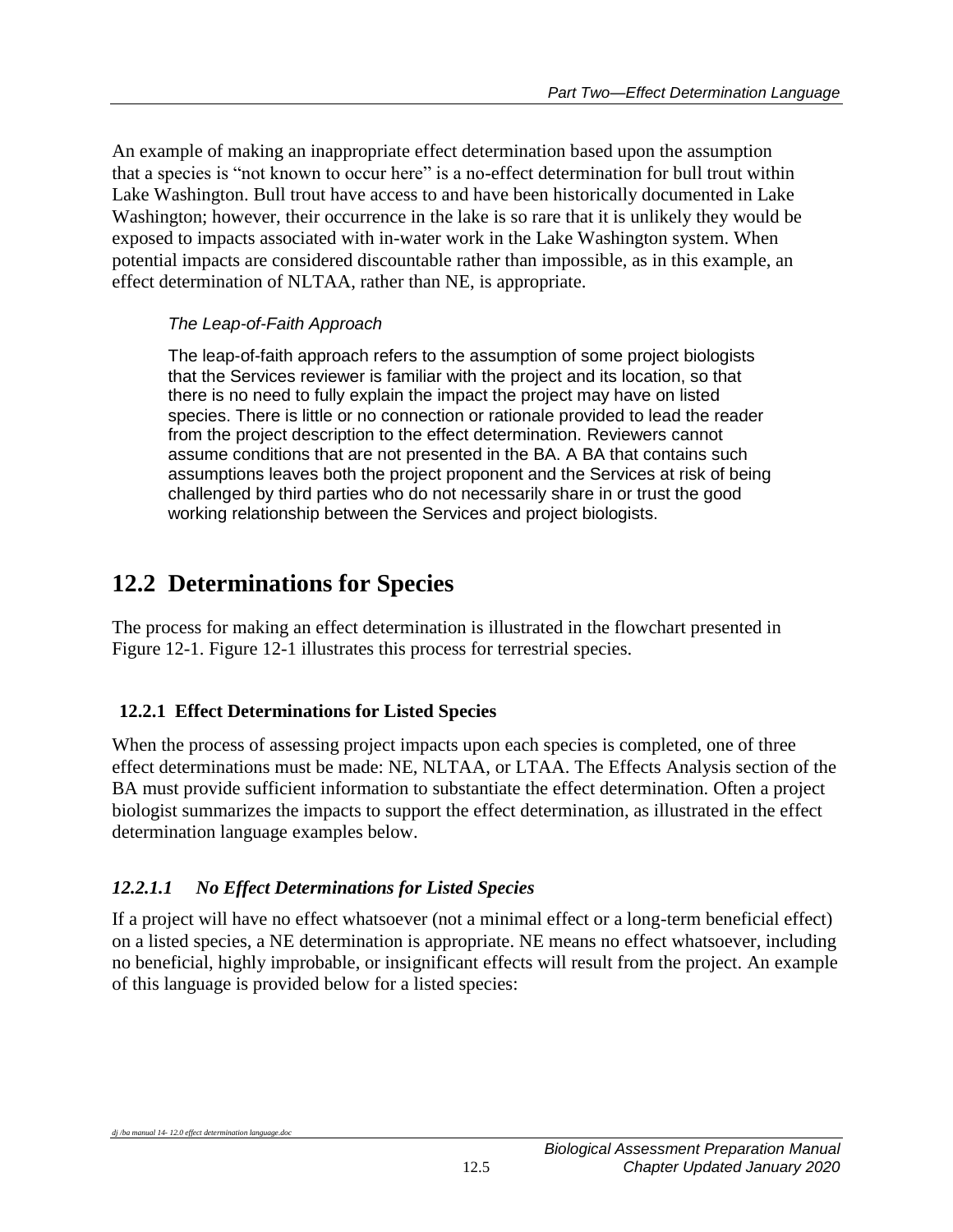An example of making an inappropriate effect determination based upon the assumption that a species is "not known to occur here" is a no-effect determination for bull trout within Lake Washington. Bull trout have access to and have been historically documented in Lake Washington; however, their occurrence in the lake is so rare that it is unlikely they would be exposed to impacts associated with in-water work in the Lake Washington system. When potential impacts are considered discountable rather than impossible, as in this example, an effect determination of NLTAA, rather than NE, is appropriate.

# *The Leap-of-Faith Approach*

The leap-of-faith approach refers to the assumption of some project biologists that the Services reviewer is familiar with the project and its location, so that there is no need to fully explain the impact the project may have on listed species. There is little or no connection or rationale provided to lead the reader from the project description to the effect determination. Reviewers cannot assume conditions that are not presented in the BA. A BA that contains such assumptions leaves both the project proponent and the Services at risk of being challenged by third parties who do not necessarily share in or trust the good working relationship between the Services and project biologists.

# <span id="page-8-0"></span>**12.2 Determinations for Species**

The process for making an effect determination is illustrated in the flowchart presented in Figure 12-1. Figure 12-1 illustrates this process for terrestrial species.

# <span id="page-8-1"></span>**12.2.1 Effect Determinations for Listed Species**

When the process of assessing project impacts upon each species is completed, one of three effect determinations must be made: NE, NLTAA, or LTAA. The Effects Analysis section of the BA must provide sufficient information to substantiate the effect determination. Often a project biologist summarizes the impacts to support the effect determination, as illustrated in the effect determination language examples below.

# *12.2.1.1 No Effect Determinations for Listed Species*

If a project will have no effect whatsoever (not a minimal effect or a long-term beneficial effect) on a listed species, a NE determination is appropriate. NE means no effect whatsoever, including no beneficial, highly improbable, or insignificant effects will result from the project. An example of this language is provided below for a listed species: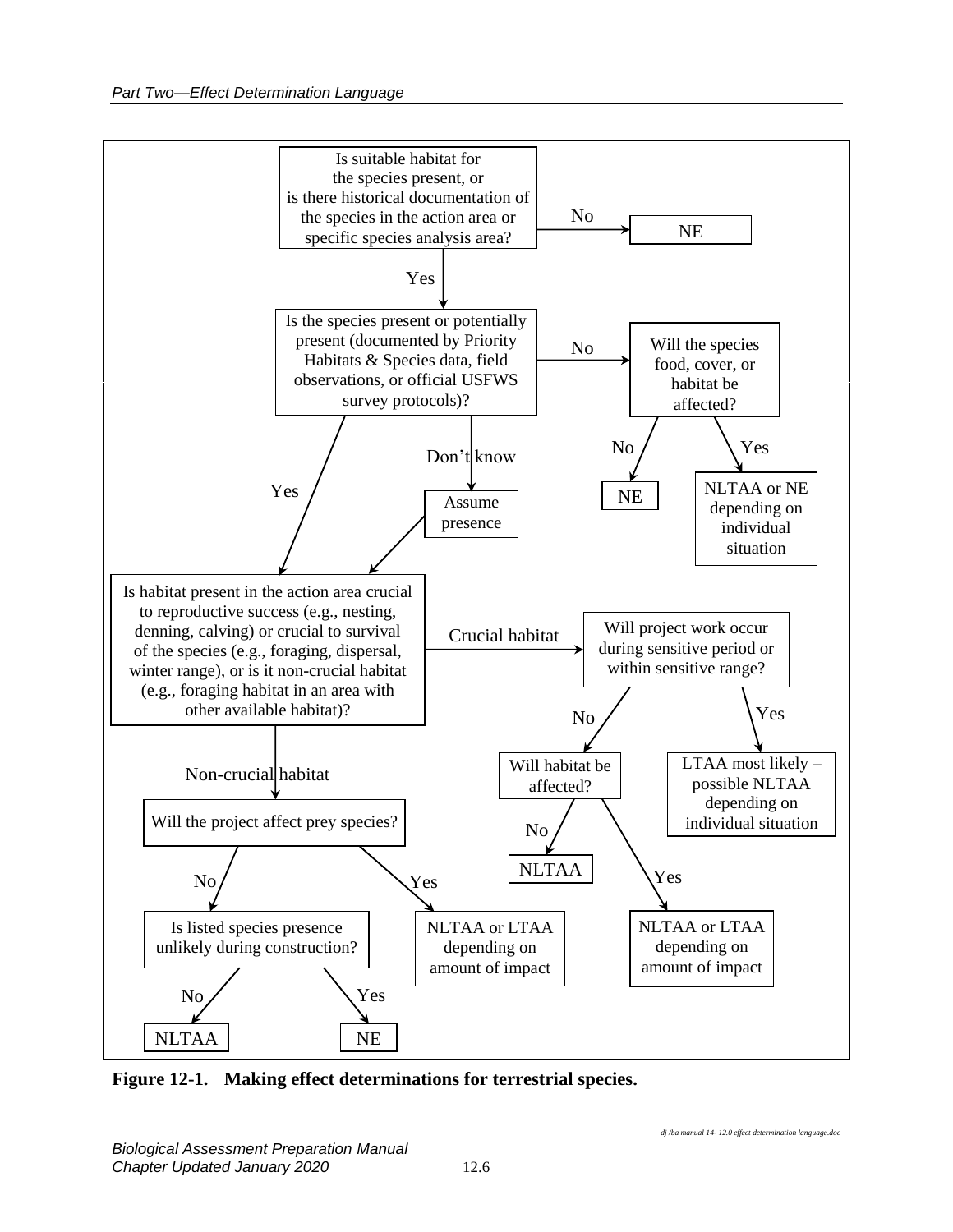

<span id="page-9-0"></span>**Figure 12-1. Making effect determinations for terrestrial species.**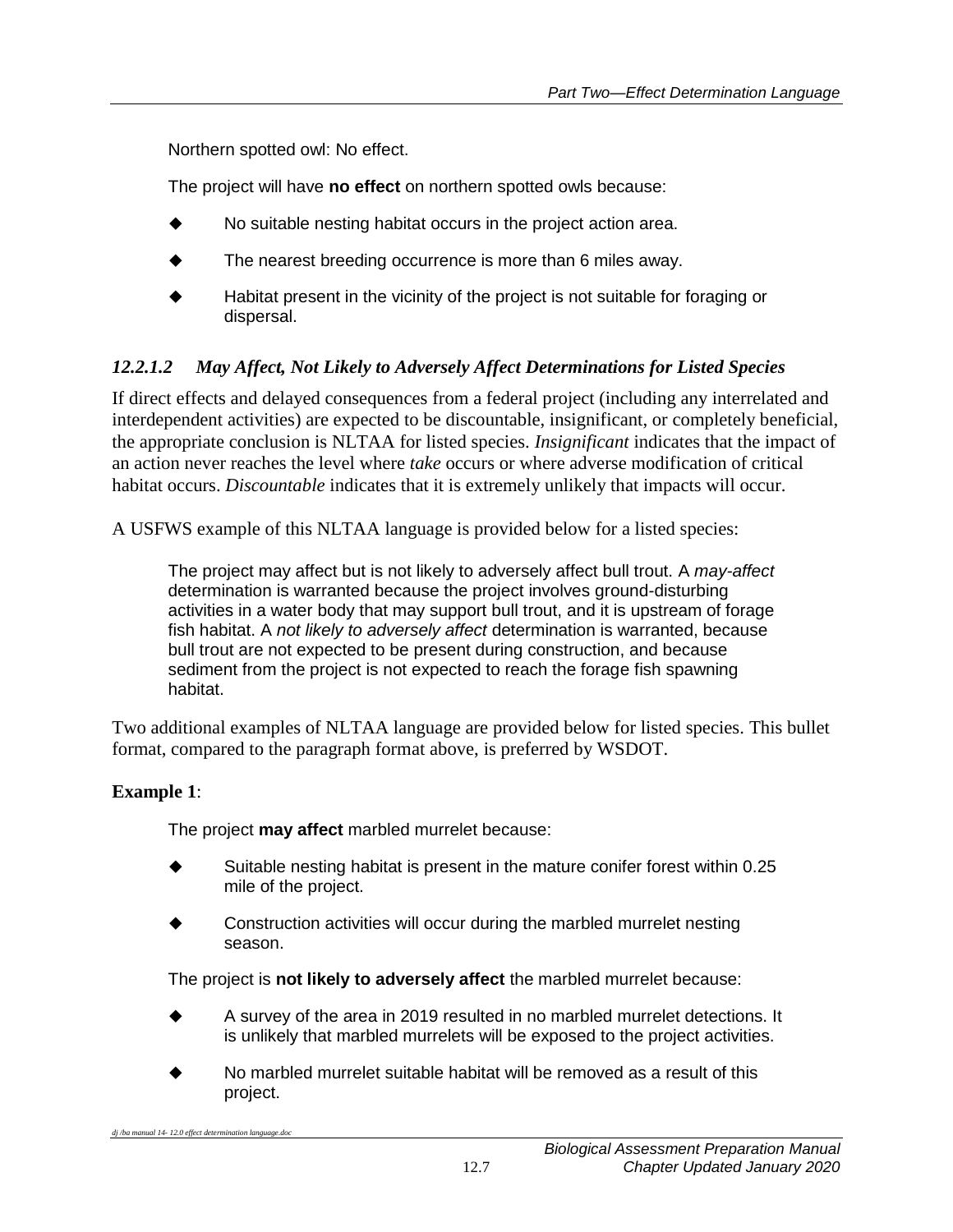Northern spotted owl: No effect.

The project will have **no effect** on northern spotted owls because:

- No suitable nesting habitat occurs in the project action area.
- The nearest breeding occurrence is more than 6 miles away.
- Habitat present in the vicinity of the project is not suitable for foraging or dispersal.

# *12.2.1.2 May Affect, Not Likely to Adversely Affect Determinations for Listed Species*

If direct effects and delayed consequences from a federal project (including any interrelated and interdependent activities) are expected to be discountable, insignificant, or completely beneficial, the appropriate conclusion is NLTAA for listed species. *Insignificant* indicates that the impact of an action never reaches the level where *take* occurs or where adverse modification of critical habitat occurs. *Discountable* indicates that it is extremely unlikely that impacts will occur.

A USFWS example of this NLTAA language is provided below for a listed species:

The project may affect but is not likely to adversely affect bull trout. A *may-affect* determination is warranted because the project involves ground-disturbing activities in a water body that may support bull trout, and it is upstream of forage fish habitat. A *not likely to adversely affect* determination is warranted, because bull trout are not expected to be present during construction, and because sediment from the project is not expected to reach the forage fish spawning habitat.

Two additional examples of NLTAA language are provided below for listed species. This bullet format, compared to the paragraph format above, is preferred by WSDOT.

# **Example 1**:

The project **may affect** marbled murrelet because:

- Suitable nesting habitat is present in the mature conifer forest within 0.25 mile of the project.
- Construction activities will occur during the marbled murrelet nesting season.

The project is **not likely to adversely affect** the marbled murrelet because:

- A survey of the area in 2019 resulted in no marbled murrelet detections. It is unlikely that marbled murrelets will be exposed to the project activities.
- No marbled murrelet suitable habitat will be removed as a result of this project.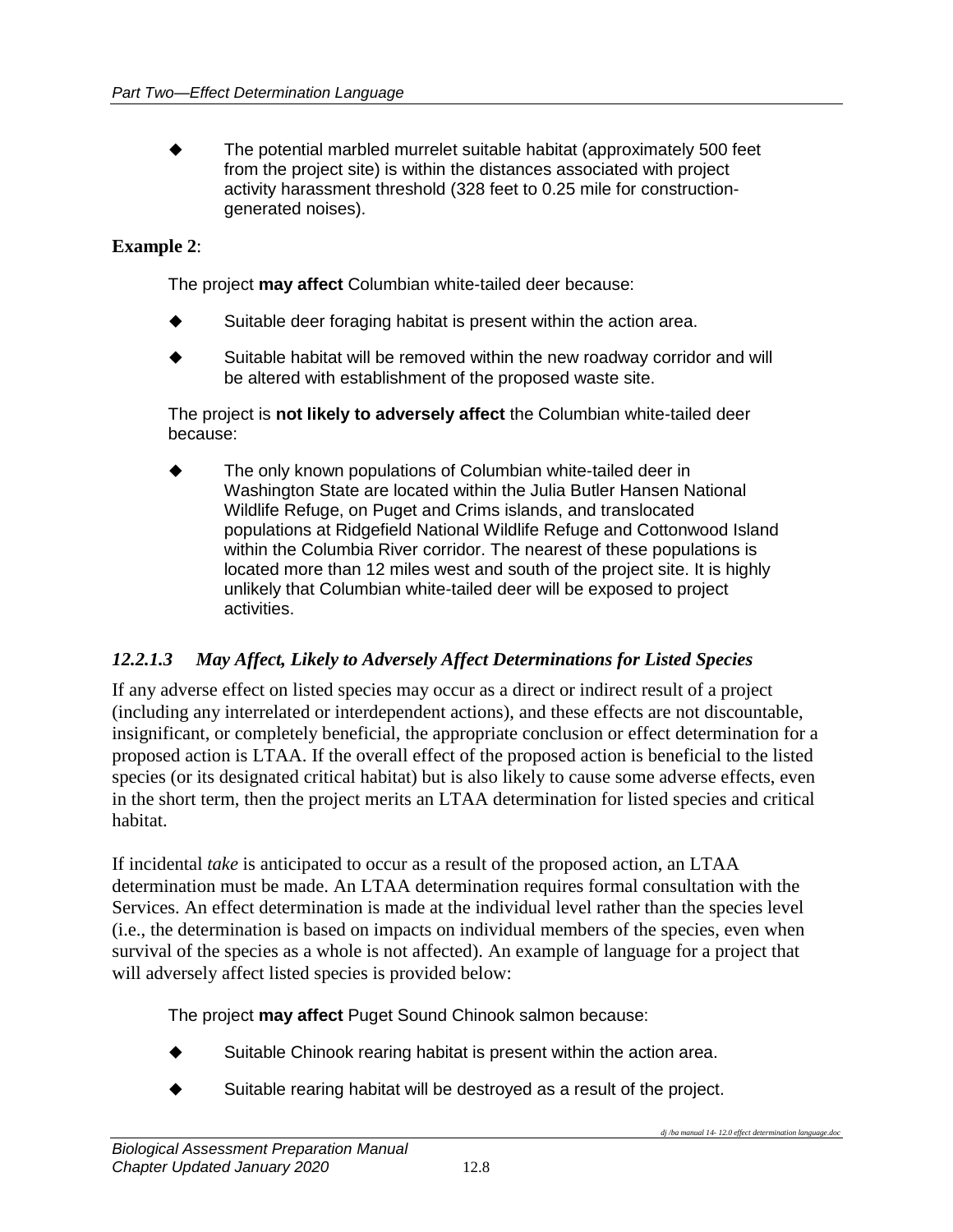The potential marbled murrelet suitable habitat (approximately 500 feet from the project site) is within the distances associated with project activity harassment threshold (328 feet to 0.25 mile for constructiongenerated noises).

#### **Example 2**:

The project **may affect** Columbian white-tailed deer because:

- Suitable deer foraging habitat is present within the action area.
- ◆ Suitable habitat will be removed within the new roadway corridor and will be altered with establishment of the proposed waste site.

The project is **not likely to adversely affect** the Columbian white-tailed deer because:

 The only known populations of Columbian white-tailed deer in Washington State are located within the Julia Butler Hansen National Wildlife Refuge, on Puget and Crims islands, and translocated populations at Ridgefield National Wildlife Refuge and Cottonwood Island within the Columbia River corridor. The nearest of these populations is located more than 12 miles west and south of the project site. It is highly unlikely that Columbian white-tailed deer will be exposed to project activities.

#### *12.2.1.3 May Affect, Likely to Adversely Affect Determinations for Listed Species*

If any adverse effect on listed species may occur as a direct or indirect result of a project (including any interrelated or interdependent actions), and these effects are not discountable, insignificant, or completely beneficial, the appropriate conclusion or effect determination for a proposed action is LTAA. If the overall effect of the proposed action is beneficial to the listed species (or its designated critical habitat) but is also likely to cause some adverse effects, even in the short term, then the project merits an LTAA determination for listed species and critical habitat.

If incidental *take* is anticipated to occur as a result of the proposed action, an LTAA determination must be made. An LTAA determination requires formal consultation with the Services. An effect determination is made at the individual level rather than the species level (i.e., the determination is based on impacts on individual members of the species, even when survival of the species as a whole is not affected). An example of language for a project that will adversely affect listed species is provided below:

The project **may affect** Puget Sound Chinook salmon because:

- Suitable Chinook rearing habitat is present within the action area.
- Suitable rearing habitat will be destroyed as a result of the project.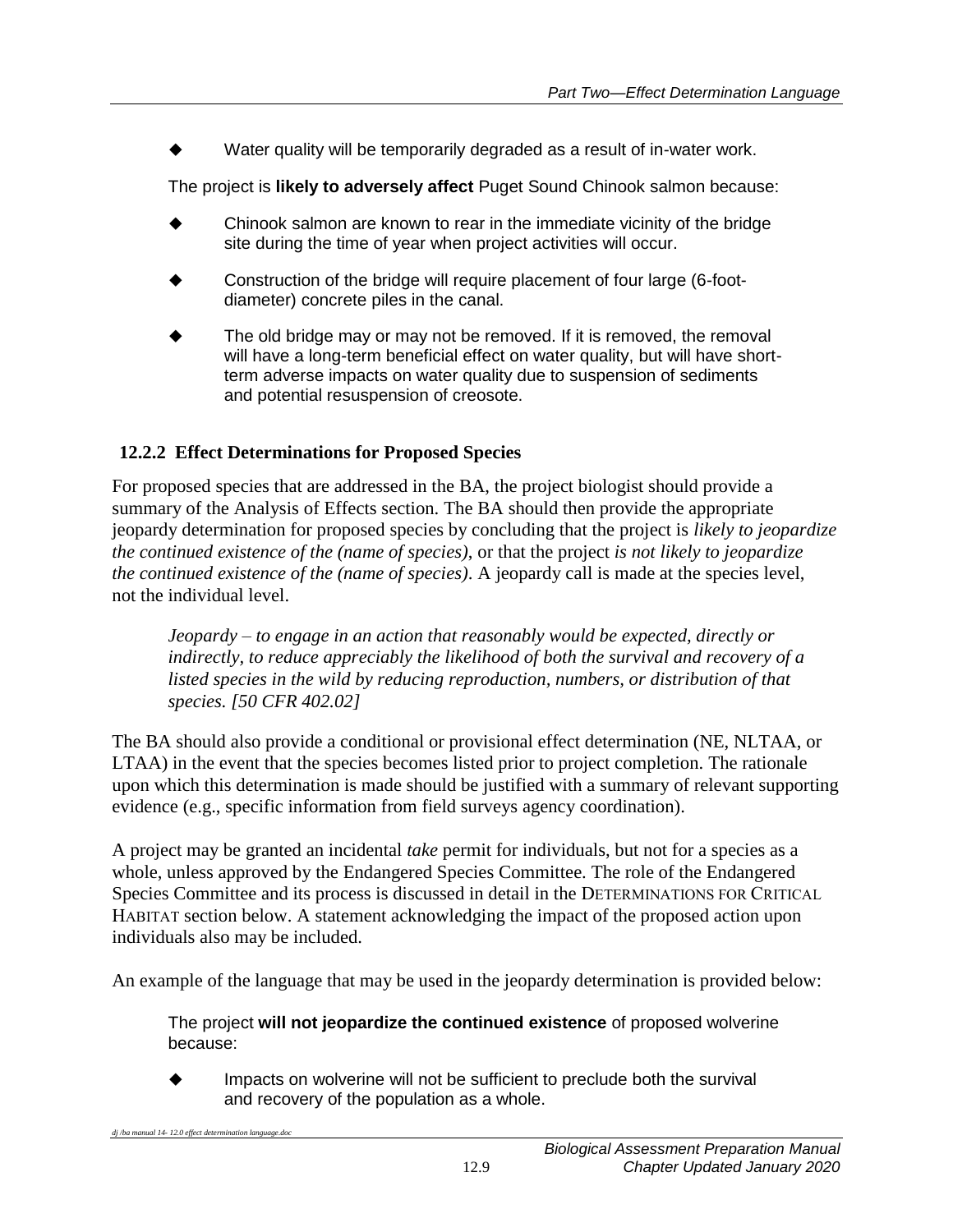Water quality will be temporarily degraded as a result of in-water work.

The project is **likely to adversely affect** Puget Sound Chinook salmon because:

- Chinook salmon are known to rear in the immediate vicinity of the bridge site during the time of year when project activities will occur.
- Construction of the bridge will require placement of four large (6-footdiameter) concrete piles in the canal.
- The old bridge may or may not be removed. If it is removed, the removal will have a long-term beneficial effect on water quality, but will have shortterm adverse impacts on water quality due to suspension of sediments and potential resuspension of creosote.

# <span id="page-12-0"></span>**12.2.2 Effect Determinations for Proposed Species**

For proposed species that are addressed in the BA, the project biologist should provide a summary of the Analysis of Effects section. The BA should then provide the appropriate jeopardy determination for proposed species by concluding that the project is *likely to jeopardize the continued existence of the (name of species)*, or that the project *is not likely to jeopardize the continued existence of the (name of species)*. A jeopardy call is made at the species level, not the individual level.

*Jeopardy – to engage in an action that reasonably would be expected, directly or indirectly, to reduce appreciably the likelihood of both the survival and recovery of a listed species in the wild by reducing reproduction, numbers, or distribution of that species. [50 CFR 402.02]*

The BA should also provide a conditional or provisional effect determination (NE, NLTAA, or LTAA) in the event that the species becomes listed prior to project completion. The rationale upon which this determination is made should be justified with a summary of relevant supporting evidence (e.g., specific information from field surveys agency coordination).

A project may be granted an incidental *take* permit for individuals, but not for a species as a whole, unless approved by the Endangered Species Committee. The role of the Endangered Species Committee and its process is discussed in detail in the DETERMINATIONS FOR CRITICAL HABITAT section below. A statement acknowledging the impact of the proposed action upon individuals also may be included.

An example of the language that may be used in the jeopardy determination is provided below:

The project **will not jeopardize the continued existence** of proposed wolverine because:

 Impacts on wolverine will not be sufficient to preclude both the survival and recovery of the population as a whole.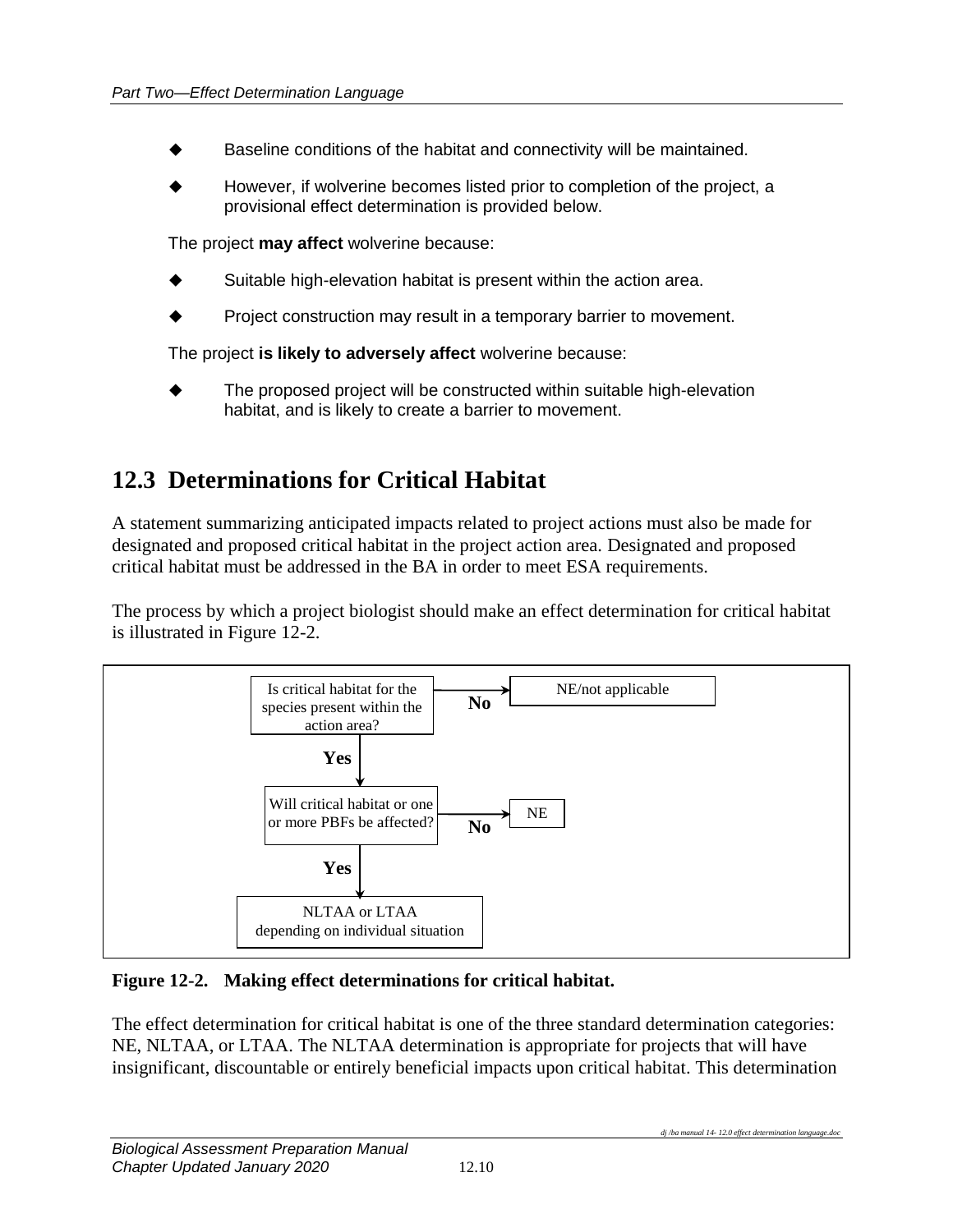- Baseline conditions of the habitat and connectivity will be maintained.
- However, if wolverine becomes listed prior to completion of the project, a provisional effect determination is provided below.

The project **may affect** wolverine because:

- Suitable high-elevation habitat is present within the action area.
- Project construction may result in a temporary barrier to movement.

The project **is likely to adversely affect** wolverine because:

 The proposed project will be constructed within suitable high-elevation habitat, and is likely to create a barrier to movement.

# <span id="page-13-0"></span>**12.3 Determinations for Critical Habitat**

A statement summarizing anticipated impacts related to project actions must also be made for designated and proposed critical habitat in the project action area. Designated and proposed critical habitat must be addressed in the BA in order to meet ESA requirements.

The process by which a project biologist should make an effect determination for critical habitat is illustrated in Figure 12-2.



#### <span id="page-13-1"></span>**Figure 12-2. Making effect determinations for critical habitat.**

The effect determination for critical habitat is one of the three standard determination categories: NE, NLTAA, or LTAA. The NLTAA determination is appropriate for projects that will have insignificant, discountable or entirely beneficial impacts upon critical habitat. This determination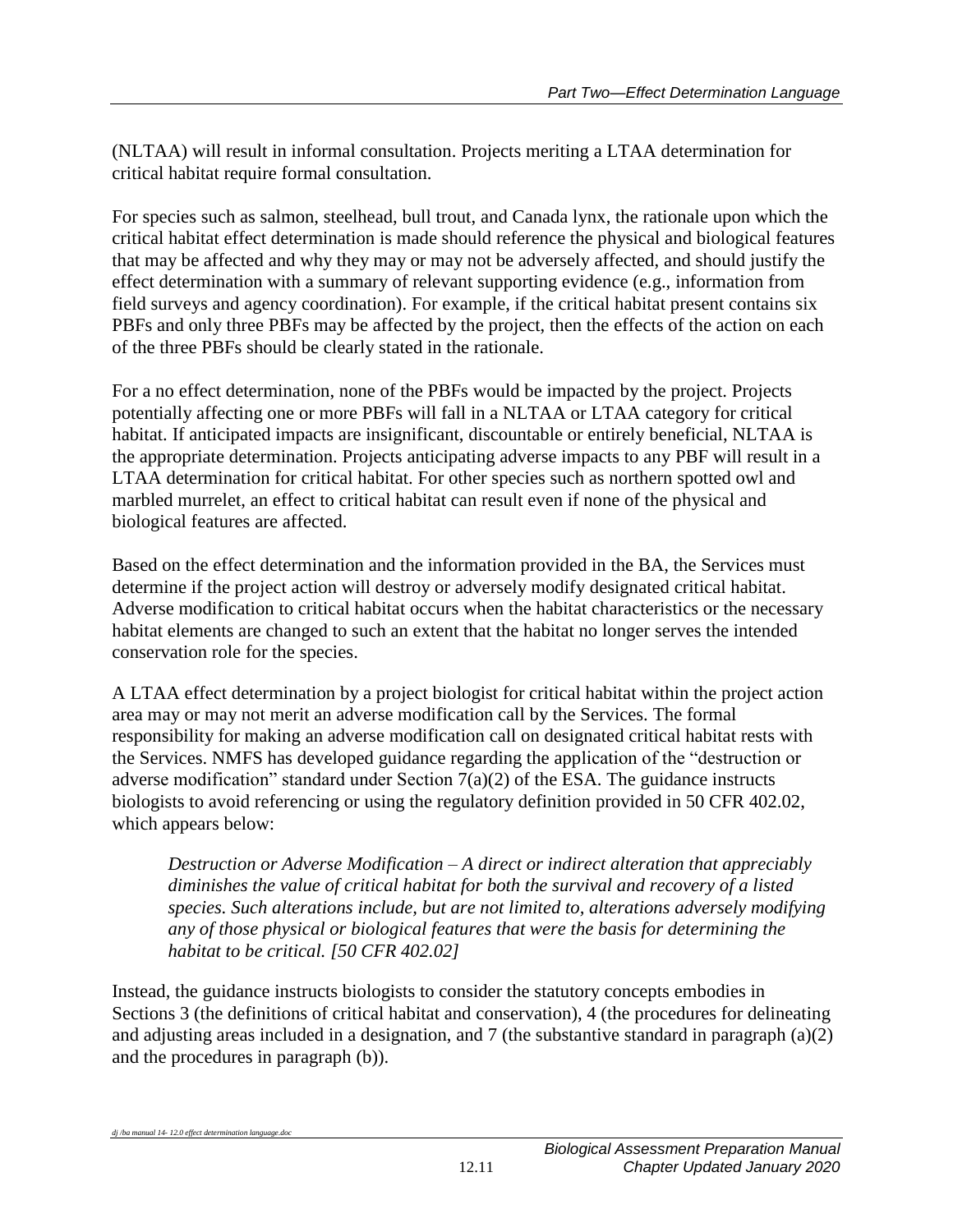(NLTAA) will result in informal consultation. Projects meriting a LTAA determination for critical habitat require formal consultation.

For species such as salmon, steelhead, bull trout, and Canada lynx, the rationale upon which the critical habitat effect determination is made should reference the physical and biological features that may be affected and why they may or may not be adversely affected, and should justify the effect determination with a summary of relevant supporting evidence (e.g., information from field surveys and agency coordination). For example, if the critical habitat present contains six PBFs and only three PBFs may be affected by the project, then the effects of the action on each of the three PBFs should be clearly stated in the rationale.

For a no effect determination, none of the PBFs would be impacted by the project. Projects potentially affecting one or more PBFs will fall in a NLTAA or LTAA category for critical habitat. If anticipated impacts are insignificant, discountable or entirely beneficial, NLTAA is the appropriate determination. Projects anticipating adverse impacts to any PBF will result in a LTAA determination for critical habitat. For other species such as northern spotted owl and marbled murrelet, an effect to critical habitat can result even if none of the physical and biological features are affected.

Based on the effect determination and the information provided in the BA, the Services must determine if the project action will destroy or adversely modify designated critical habitat. Adverse modification to critical habitat occurs when the habitat characteristics or the necessary habitat elements are changed to such an extent that the habitat no longer serves the intended conservation role for the species.

A LTAA effect determination by a project biologist for critical habitat within the project action area may or may not merit an adverse modification call by the Services. The formal responsibility for making an adverse modification call on designated critical habitat rests with the Services. NMFS has developed guidance regarding the application of the "destruction or adverse modification" standard under Section  $7(a)(2)$  of the ESA. The guidance instructs biologists to avoid referencing or using the regulatory definition provided in 50 CFR 402.02, which appears below:

*Destruction or Adverse Modification – A direct or indirect alteration that appreciably diminishes the value of critical habitat for both the survival and recovery of a listed species. Such alterations include, but are not limited to, alterations adversely modifying any of those physical or biological features that were the basis for determining the habitat to be critical. [50 CFR 402.02]*

Instead, the guidance instructs biologists to consider the statutory concepts embodies in Sections 3 (the definitions of critical habitat and conservation), 4 (the procedures for delineating and adjusting areas included in a designation, and 7 (the substantive standard in paragraph (a)(2) and the procedures in paragraph (b)).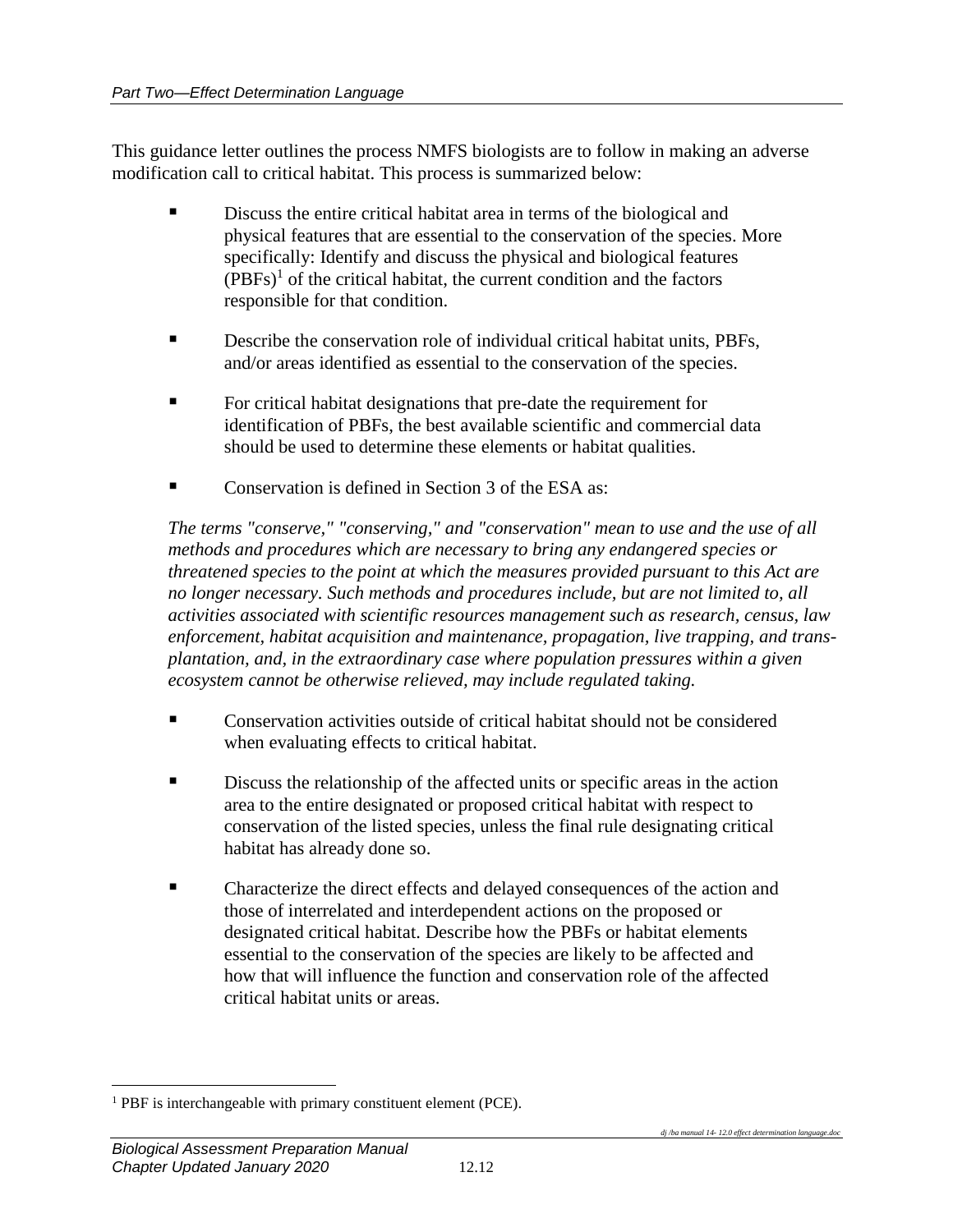This guidance letter outlines the process NMFS biologists are to follow in making an adverse modification call to critical habitat. This process is summarized below:

- Discuss the entire critical habitat area in terms of the biological and physical features that are essential to the conservation of the species. More specifically: Identify and discuss the physical and biological features  $(PBFs)^1$  of the critical habitat, the current condition and the factors responsible for that condition.
- Describe the conservation role of individual critical habitat units, PBFs, and/or areas identified as essential to the conservation of the species.
- For critical habitat designations that pre-date the requirement for identification of PBFs, the best available scientific and commercial data should be used to determine these elements or habitat qualities.
- Conservation is defined in Section 3 of the ESA as:

*The terms "conserve," "conserving," and "conservation" mean to use and the use of all methods and procedures which are necessary to bring any endangered species or threatened species to the point at which the measures provided pursuant to this Act are no longer necessary. Such methods and procedures include, but are not limited to, all activities associated with scientific resources management such as research, census, law enforcement, habitat acquisition and maintenance, propagation, live trapping, and transplantation, and, in the extraordinary case where population pressures within a given ecosystem cannot be otherwise relieved, may include regulated taking.*

- Conservation activities outside of critical habitat should not be considered when evaluating effects to critical habitat.
- Discuss the relationship of the affected units or specific areas in the action area to the entire designated or proposed critical habitat with respect to conservation of the listed species, unless the final rule designating critical habitat has already done so.
- **Example 3** Characterize the direct effects and delayed consequences of the action and those of interrelated and interdependent actions on the proposed or designated critical habitat. Describe how the PBFs or habitat elements essential to the conservation of the species are likely to be affected and how that will influence the function and conservation role of the affected critical habitat units or areas.

 $\overline{a}$ <sup>1</sup> PBF is interchangeable with primary constituent element (PCE).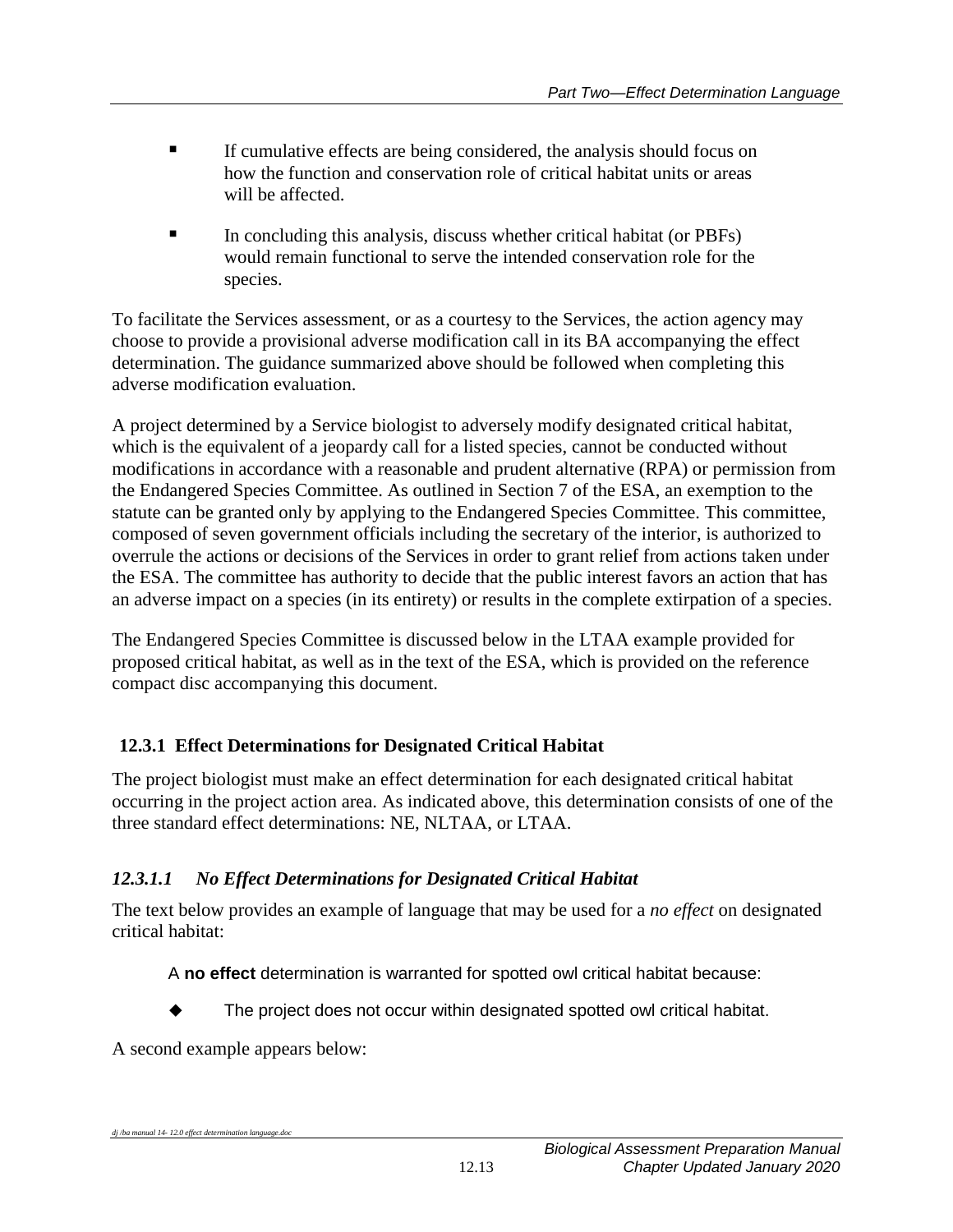- If cumulative effects are being considered, the analysis should focus on how the function and conservation role of critical habitat units or areas will be affected.
- In concluding this analysis, discuss whether critical habitat (or PBFs) would remain functional to serve the intended conservation role for the species.

To facilitate the Services assessment, or as a courtesy to the Services, the action agency may choose to provide a provisional adverse modification call in its BA accompanying the effect determination. The guidance summarized above should be followed when completing this adverse modification evaluation.

A project determined by a Service biologist to adversely modify designated critical habitat, which is the equivalent of a jeopardy call for a listed species, cannot be conducted without modifications in accordance with a reasonable and prudent alternative (RPA) or permission from the Endangered Species Committee. As outlined in Section 7 of the ESA, an exemption to the statute can be granted only by applying to the Endangered Species Committee. This committee, composed of seven government officials including the secretary of the interior, is authorized to overrule the actions or decisions of the Services in order to grant relief from actions taken under the ESA. The committee has authority to decide that the public interest favors an action that has an adverse impact on a species (in its entirety) or results in the complete extirpation of a species.

The Endangered Species Committee is discussed below in the LTAA example provided for proposed critical habitat, as well as in the text of the ESA, which is provided on the reference compact disc accompanying this document.

# <span id="page-16-0"></span>**12.3.1 Effect Determinations for Designated Critical Habitat**

The project biologist must make an effect determination for each designated critical habitat occurring in the project action area. As indicated above, this determination consists of one of the three standard effect determinations: NE, NLTAA, or LTAA.

# *12.3.1.1 No Effect Determinations for Designated Critical Habitat*

The text below provides an example of language that may be used for a *no effect* on designated critical habitat:

A **no effect** determination is warranted for spotted owl critical habitat because:

The project does not occur within designated spotted owl critical habitat.

A second example appears below: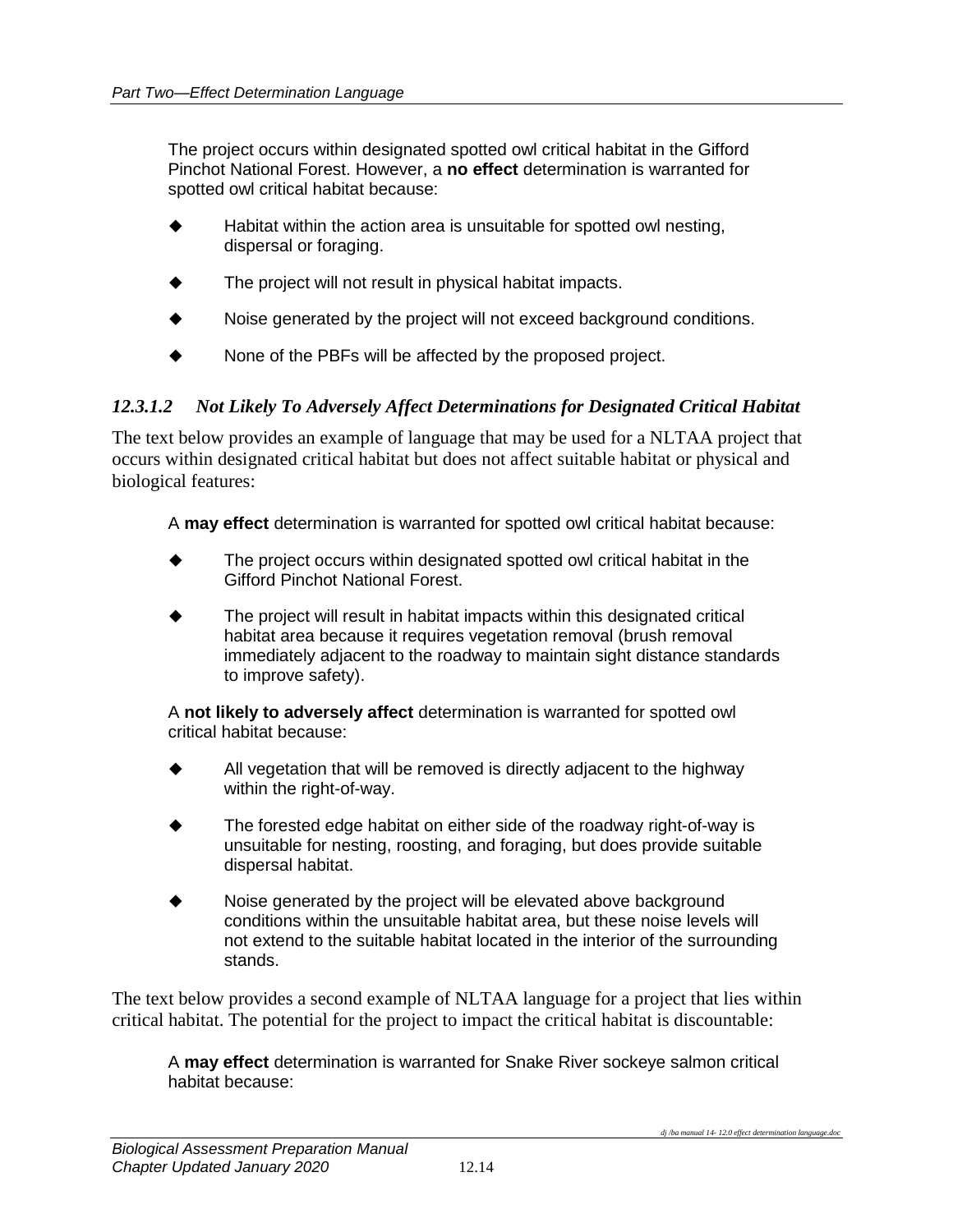The project occurs within designated spotted owl critical habitat in the Gifford Pinchot National Forest. However, a **no effect** determination is warranted for spotted owl critical habitat because:

- Habitat within the action area is unsuitable for spotted owl nesting, dispersal or foraging.
- The project will not result in physical habitat impacts.
- Noise generated by the project will not exceed background conditions.
- None of the PBFs will be affected by the proposed project.

#### *12.3.1.2 Not Likely To Adversely Affect Determinations for Designated Critical Habitat*

The text below provides an example of language that may be used for a NLTAA project that occurs within designated critical habitat but does not affect suitable habitat or physical and biological features:

A **may effect** determination is warranted for spotted owl critical habitat because:

- The project occurs within designated spotted owl critical habitat in the Gifford Pinchot National Forest.
- The project will result in habitat impacts within this designated critical habitat area because it requires vegetation removal (brush removal immediately adjacent to the roadway to maintain sight distance standards to improve safety).

A **not likely to adversely affect** determination is warranted for spotted owl critical habitat because:

- All vegetation that will be removed is directly adjacent to the highway within the right-of-way.
- The forested edge habitat on either side of the roadway right-of-way is unsuitable for nesting, roosting, and foraging, but does provide suitable dispersal habitat.
- Noise generated by the project will be elevated above background conditions within the unsuitable habitat area, but these noise levels will not extend to the suitable habitat located in the interior of the surrounding stands.

The text below provides a second example of NLTAA language for a project that lies within critical habitat. The potential for the project to impact the critical habitat is discountable:

A **may effect** determination is warranted for Snake River sockeye salmon critical habitat because: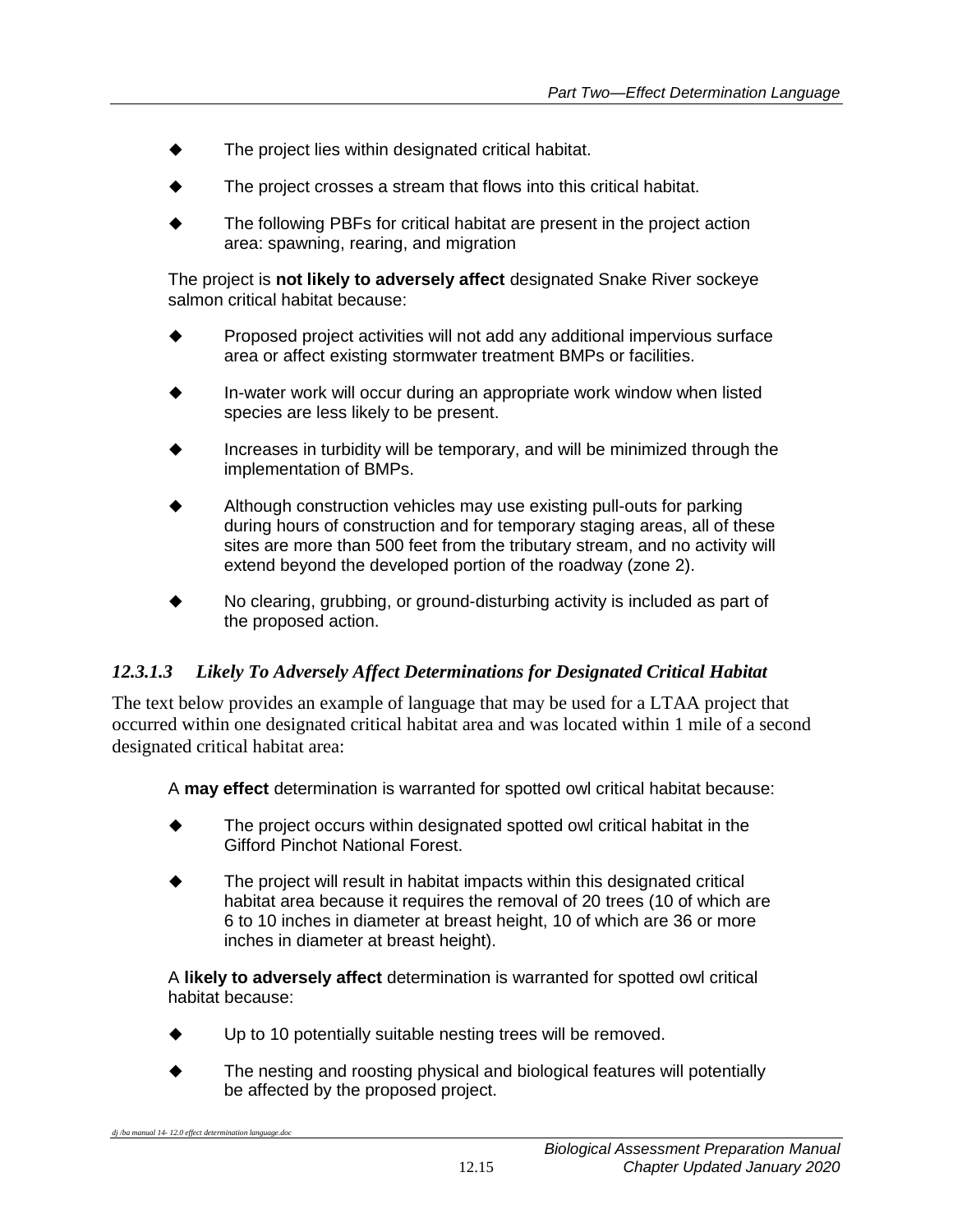- The project lies within designated critical habitat.
- The project crosses a stream that flows into this critical habitat.
- The following PBFs for critical habitat are present in the project action area: spawning, rearing, and migration

The project is **not likely to adversely affect** designated Snake River sockeye salmon critical habitat because:

- Proposed project activities will not add any additional impervious surface area or affect existing stormwater treatment BMPs or facilities.
- In-water work will occur during an appropriate work window when listed species are less likely to be present.
- Increases in turbidity will be temporary, and will be minimized through the implementation of BMPs.
- Although construction vehicles may use existing pull-outs for parking during hours of construction and for temporary staging areas, all of these sites are more than 500 feet from the tributary stream, and no activity will extend beyond the developed portion of the roadway (zone 2).
- No clearing, grubbing, or ground-disturbing activity is included as part of the proposed action.

# *12.3.1.3 Likely To Adversely Affect Determinations for Designated Critical Habitat*

The text below provides an example of language that may be used for a LTAA project that occurred within one designated critical habitat area and was located within 1 mile of a second designated critical habitat area:

A **may effect** determination is warranted for spotted owl critical habitat because:

- The project occurs within designated spotted owl critical habitat in the Gifford Pinchot National Forest.
- The project will result in habitat impacts within this designated critical habitat area because it requires the removal of 20 trees (10 of which are 6 to 10 inches in diameter at breast height, 10 of which are 36 or more inches in diameter at breast height).

A **likely to adversely affect** determination is warranted for spotted owl critical habitat because:

- ◆ Up to 10 potentially suitable nesting trees will be removed.
- The nesting and roosting physical and biological features will potentially be affected by the proposed project.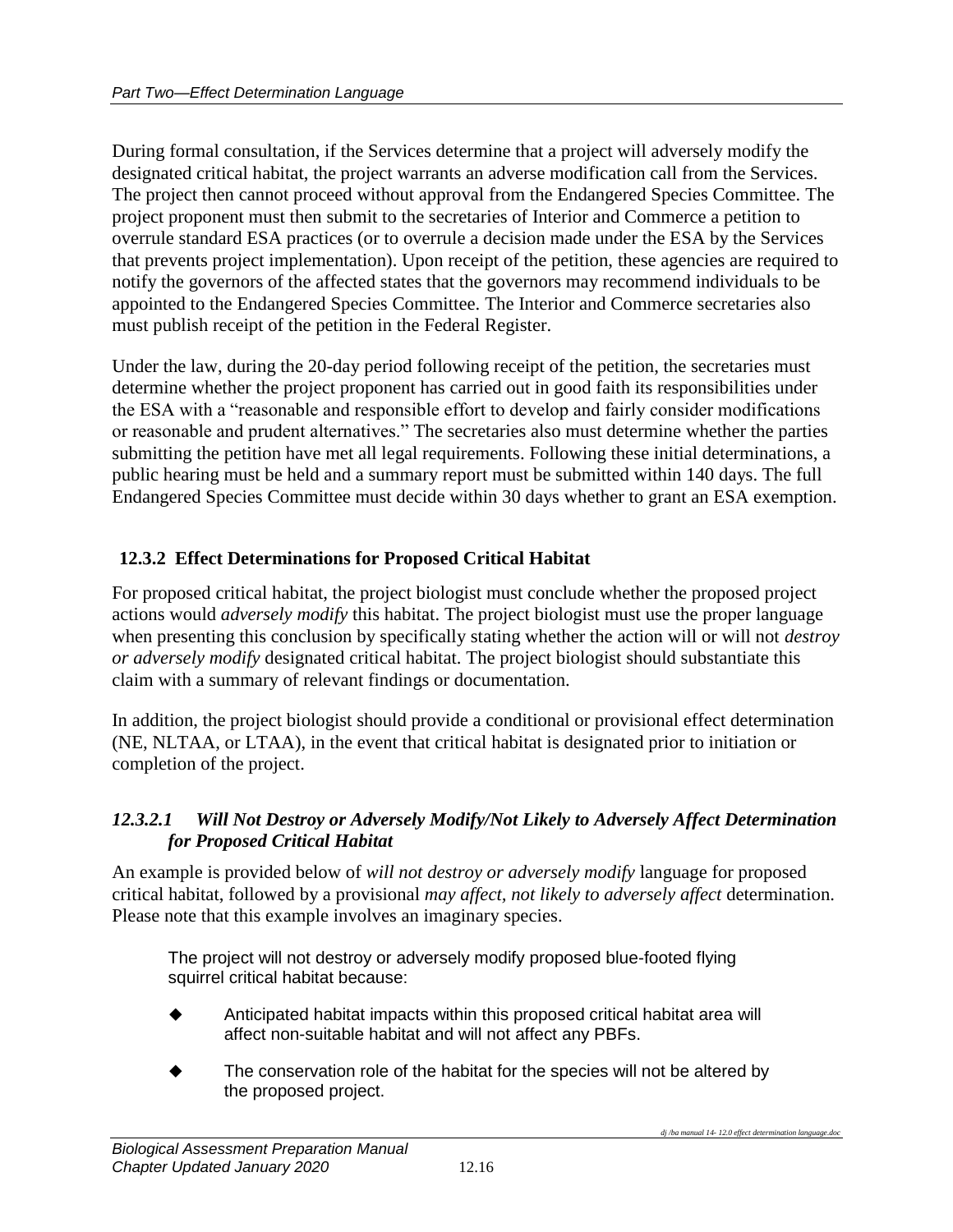During formal consultation, if the Services determine that a project will adversely modify the designated critical habitat, the project warrants an adverse modification call from the Services. The project then cannot proceed without approval from the Endangered Species Committee. The project proponent must then submit to the secretaries of Interior and Commerce a petition to overrule standard ESA practices (or to overrule a decision made under the ESA by the Services that prevents project implementation). Upon receipt of the petition, these agencies are required to notify the governors of the affected states that the governors may recommend individuals to be appointed to the Endangered Species Committee. The Interior and Commerce secretaries also must publish receipt of the petition in the Federal Register.

Under the law, during the 20-day period following receipt of the petition, the secretaries must determine whether the project proponent has carried out in good faith its responsibilities under the ESA with a "reasonable and responsible effort to develop and fairly consider modifications or reasonable and prudent alternatives." The secretaries also must determine whether the parties submitting the petition have met all legal requirements. Following these initial determinations, a public hearing must be held and a summary report must be submitted within 140 days. The full Endangered Species Committee must decide within 30 days whether to grant an ESA exemption.

#### <span id="page-19-0"></span>**12.3.2 Effect Determinations for Proposed Critical Habitat**

For proposed critical habitat, the project biologist must conclude whether the proposed project actions would *adversely modify* this habitat. The project biologist must use the proper language when presenting this conclusion by specifically stating whether the action will or will not *destroy or adversely modify* designated critical habitat. The project biologist should substantiate this claim with a summary of relevant findings or documentation.

In addition, the project biologist should provide a conditional or provisional effect determination (NE, NLTAA, or LTAA), in the event that critical habitat is designated prior to initiation or completion of the project.

#### *12.3.2.1 Will Not Destroy or Adversely Modify/Not Likely to Adversely Affect Determination for Proposed Critical Habitat*

An example is provided below of *will not destroy or adversely modify* language for proposed critical habitat, followed by a provisional *may affect, not likely to adversely affect* determination. Please note that this example involves an imaginary species.

The project will not destroy or adversely modify proposed blue-footed flying squirrel critical habitat because:

- Anticipated habitat impacts within this proposed critical habitat area will affect non-suitable habitat and will not affect any PBFs.
- The conservation role of the habitat for the species will not be altered by the proposed project.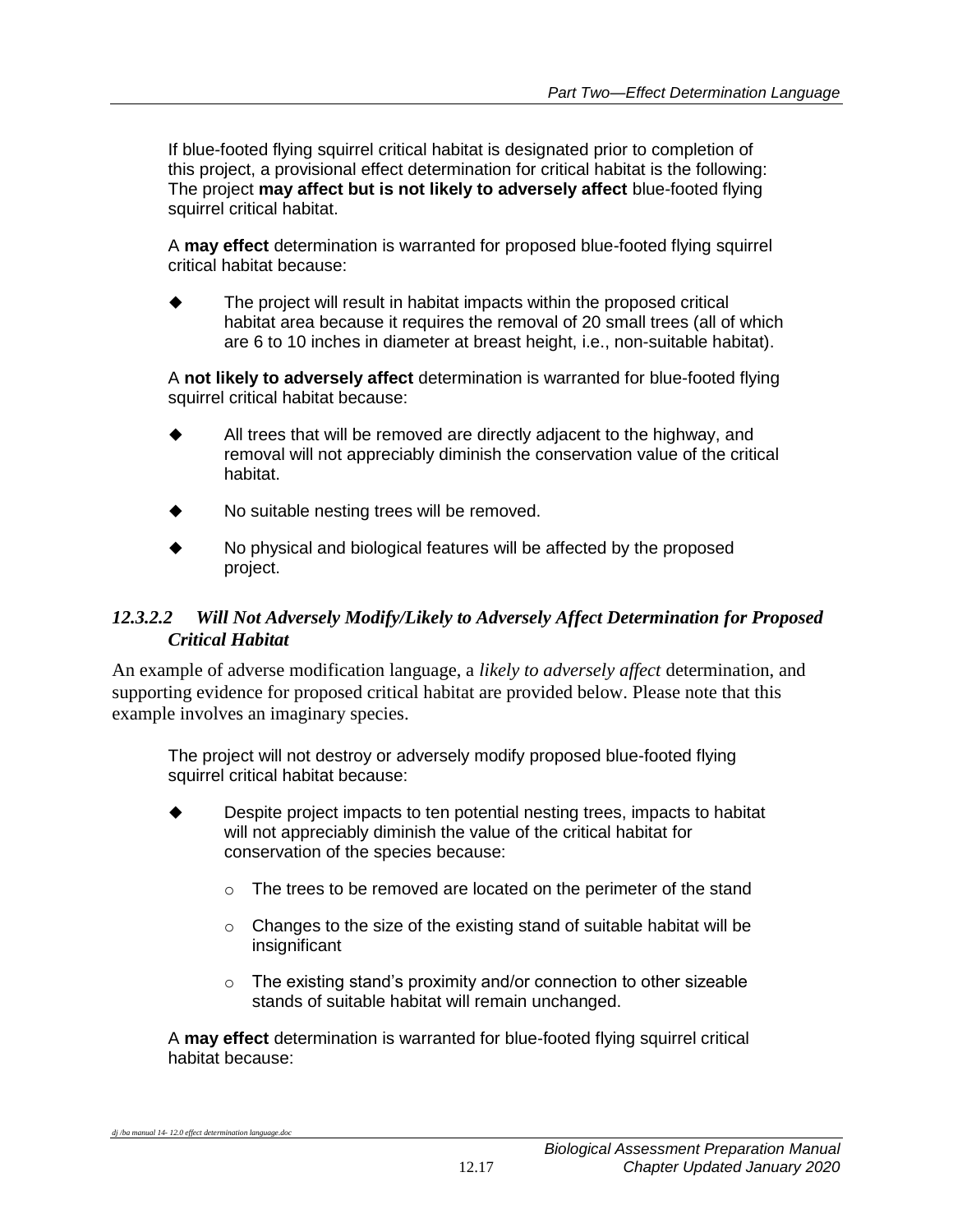If blue-footed flying squirrel critical habitat is designated prior to completion of this project, a provisional effect determination for critical habitat is the following: The project **may affect but is not likely to adversely affect** blue-footed flying squirrel critical habitat.

A **may effect** determination is warranted for proposed blue-footed flying squirrel critical habitat because:

 The project will result in habitat impacts within the proposed critical habitat area because it requires the removal of 20 small trees (all of which are 6 to 10 inches in diameter at breast height, i.e., non-suitable habitat).

A **not likely to adversely affect** determination is warranted for blue-footed flying squirrel critical habitat because:

- $\blacklozenge$  All trees that will be removed are directly adjacent to the highway, and removal will not appreciably diminish the conservation value of the critical habitat.
- No suitable nesting trees will be removed.
- No physical and biological features will be affected by the proposed project.

#### *12.3.2.2 Will Not Adversely Modify/Likely to Adversely Affect Determination for Proposed Critical Habitat*

An example of adverse modification language, a *likely to adversely affect* determination, and supporting evidence for proposed critical habitat are provided below. Please note that this example involves an imaginary species.

The project will not destroy or adversely modify proposed blue-footed flying squirrel critical habitat because:

- Despite project impacts to ten potential nesting trees, impacts to habitat will not appreciably diminish the value of the critical habitat for conservation of the species because:
	- o The trees to be removed are located on the perimeter of the stand
	- $\circ$  Changes to the size of the existing stand of suitable habitat will be insignificant
	- $\circ$  The existing stand's proximity and/or connection to other sizeable stands of suitable habitat will remain unchanged.

A **may effect** determination is warranted for blue-footed flying squirrel critical habitat because: